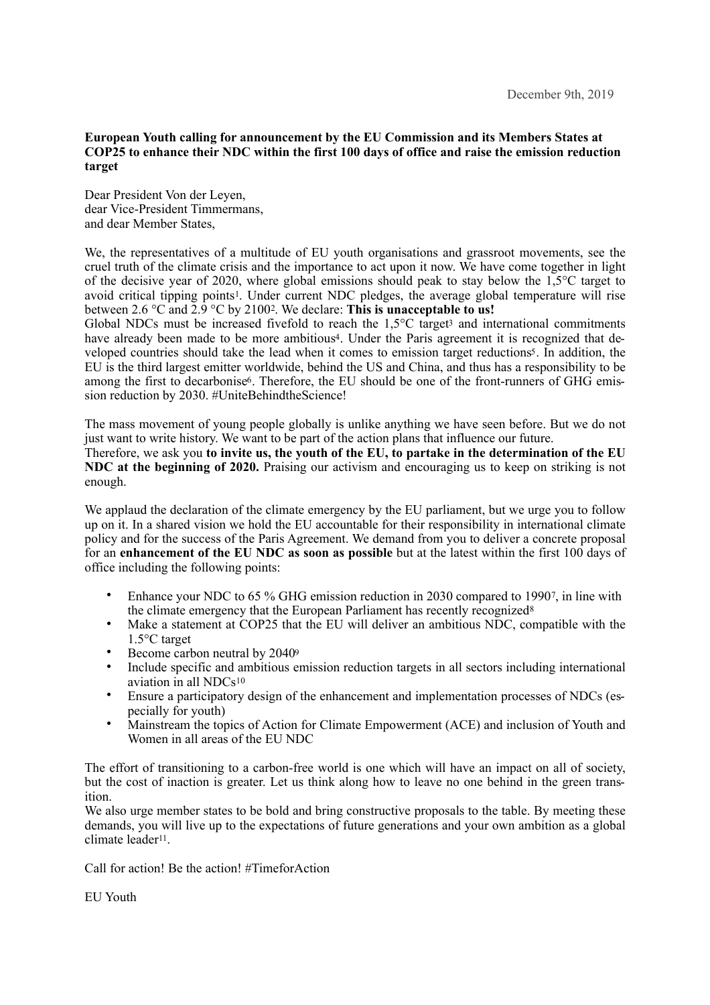## **European Youth calling for announcement by the EU Commission and its Members States at COP25 to enhance their NDC within the first 100 days of office and raise the emission reduction target**

Dear President Von der Leyen, dear Vice-President Timmermans, and dear Member States,

We, the representatives of a multitude of EU youth organisations and grassroot movements, see the cruel truth of the climate crisis and the importance to act upon it now. We have come together in light of the decisive year of 2020, where global emissions should peak to stay below the  $1.5^{\circ}$ C target to avoid critical tipping points<sup>[1](#page-4-0)</sup>. Under current NDC pledges, the average global temperature will rise between [2](#page-4-1).6  $\degree$ C and 2.9  $\degree$ C by 2100<sup>2</sup>. We declare: This is unacceptable to us!

<span id="page-0-4"></span><span id="page-0-3"></span><span id="page-0-2"></span><span id="page-0-1"></span><span id="page-0-0"></span>Global NDCs mus[t](#page-4-2) be increased fivefold to reach the  $1.5^{\circ}$ C target<sup>[3](#page-4-2)</sup> and international commitments have already been made to be more ambitious<sup>4</sup>. Under the Paris agreement it is recognized that de-veloped countries should take the lead when it comes to emission target reductions<sup>[5](#page-4-4)</sup>. In addition, the EU is the third largest emitter worldwide, behind the US and China, and thus has a responsibility to be among the first to decarbonise<sup>6</sup>. Therefore, the EU should be one of the front-runners of GHG emission reduction by 2030. #UniteBehindtheScience!

<span id="page-0-5"></span>The mass movement of young people globally is unlike anything we have seen before. But we do not just want to write history. We want to be part of the action plans that influence our future. Therefore, we ask you **to invite us, the youth of the EU, to partake in the determination of the EU NDC at the beginning of 2020.** Praising our activism and encouraging us to keep on striking is not enough.

We applaud the declaration of the climate emergency by the EU parliament, but we urge you to follow up on it. In a shared vision we hold the EU accountable for their responsibility in international climate policy and for the success of the Paris Agreement. We demand from you to deliver a concrete proposal for an **enhancement of the EU NDC as soon as possible** but at the latest within the first 100 days of office including the following points:

- <span id="page-0-7"></span><span id="page-0-6"></span>Enhance your NDC to 65 % GHG emission reduction in 2030 compared to 1990. in line with the climate emergency that the European Parliament has recently recognized[8](#page-4-7)
- Make a statement at COP25 that the EU will deliver an ambitious NDC, compatible with the 1.5°C target
- <span id="page-0-8"></span>• Become carbon neutral by 204[09](#page-4-8)
- <span id="page-0-9"></span>• Include specific and ambitious emission reduction targets in all sectors including international aviation in all NDCs[10](#page-4-9)
- Ensure a participatory design of the enhancement and implementation processes of NDCs (especially for youth)
- Mainstream the topics of Action for Climate Empowerment (ACE) and inclusion of Youth and Women in all areas of the EU NDC

The effort of transitioning to a carbon-free world is one which will have an impact on all of society, but the cost of inaction is greater. Let us think along how to leave no one behind in the green transition.

<span id="page-0-10"></span>We also urge member states to be bold and bring constructive proposals to the table. By meeting these demands, you will live up to the expectations of future generations and your own ambition as a global climate leader<sup>[11](#page-4-10)</sup>.

Call for action! Be the action! #TimeforAction

EU Youth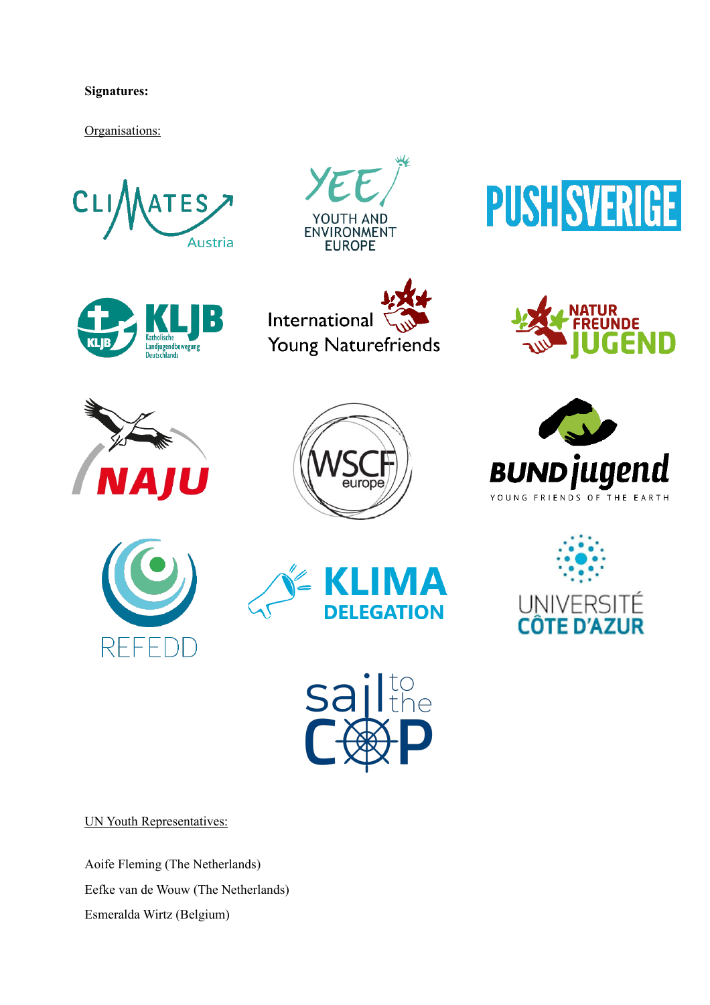## **Signatures:**

Organisations:



























UN Youth Representatives:

Aoife Fleming (The Netherlands) Eefke van de Wouw (The Netherlands) Esmeralda Wirtz (Belgium)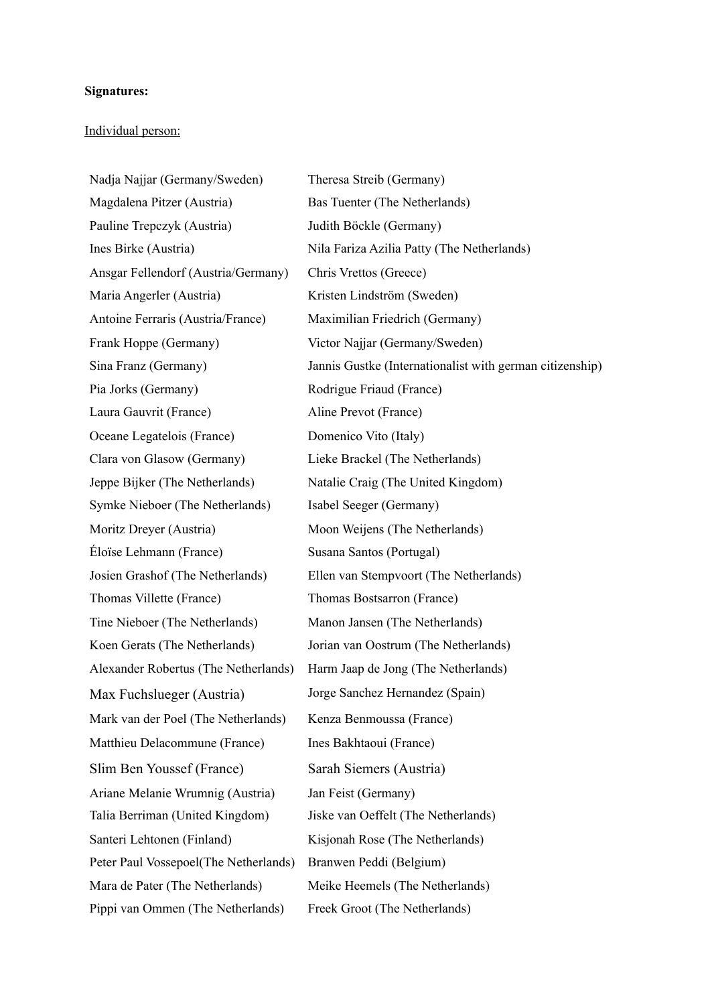## **Signatures:**

## Individual person:

Nadia Najjar (Germany/Sweden) Theresa Streib (Germany) Magdalena Pitzer (Austria) Bas Tuenter (The Netherlands) Pauline Trepczyk (Austria) Judith Böckle (Germany) Ansgar Fellendorf (Austria/Germany) Chris Vrettos (Greece) Maria Angerler (Austria) Kristen Lindström (Sweden) Antoine Ferraris (Austria/France) Maximilian Friedrich (Germany) Frank Hoppe (Germany) Victor Najjar (Germany/Sweden) Pia Jorks (Germany) Rodrigue Friaud (France) Laura Gauvrit (France) Aline Prevot (France) Oceane Legatelois (France) Domenico Vito (Italy) Clara von Glasow (Germany) Lieke Brackel (The Netherlands) Jeppe Bijker (The Netherlands) Natalie Craig (The United Kingdom) Symke Nieboer (The Netherlands) Isabel Seeger (Germany) Moritz Dreyer (Austria) Moon Weijens (The Netherlands) Éloïse Lehmann (France) Susana Santos (Portugal) Thomas Villette (France) Thomas Bostsarron (France) Tine Nieboer (The Netherlands) Manon Jansen (The Netherlands) Max Fuchslueger (Austria) Jorge Sanchez Hernandez (Spain) Mark van der Poel (The Netherlands) Kenza Benmoussa (France) Matthieu Delacommune (France) Ines Bakhtaoui (France) Slim Ben Youssef (France) Sarah Siemers (Austria) Ariane Melanie Wrumnig (Austria) Jan Feist (Germany) Talia Berriman (United Kingdom) Jiske van Oeffelt (The Netherlands) Santeri Lehtonen (Finland) Kisjonah Rose (The Netherlands) Peter Paul Vossepoel(The Netherlands) Branwen Peddi (Belgium) Mara de Pater (The Netherlands) Meike Heemels (The Netherlands) Pippi van Ommen (The Netherlands) Freek Groot (The Netherlands)

Ines Birke (Austria) Nila Fariza Azilia Patty (The Netherlands) Sina Franz (Germany) Jannis Gustke (Internationalist with german citizenship) Josien Grashof (The Netherlands) Ellen van Stempvoort (The Netherlands) Koen Gerats (The Netherlands) Jorian van Oostrum (The Netherlands) Alexander Robertus (The Netherlands) Harm Jaap de Jong (The Netherlands)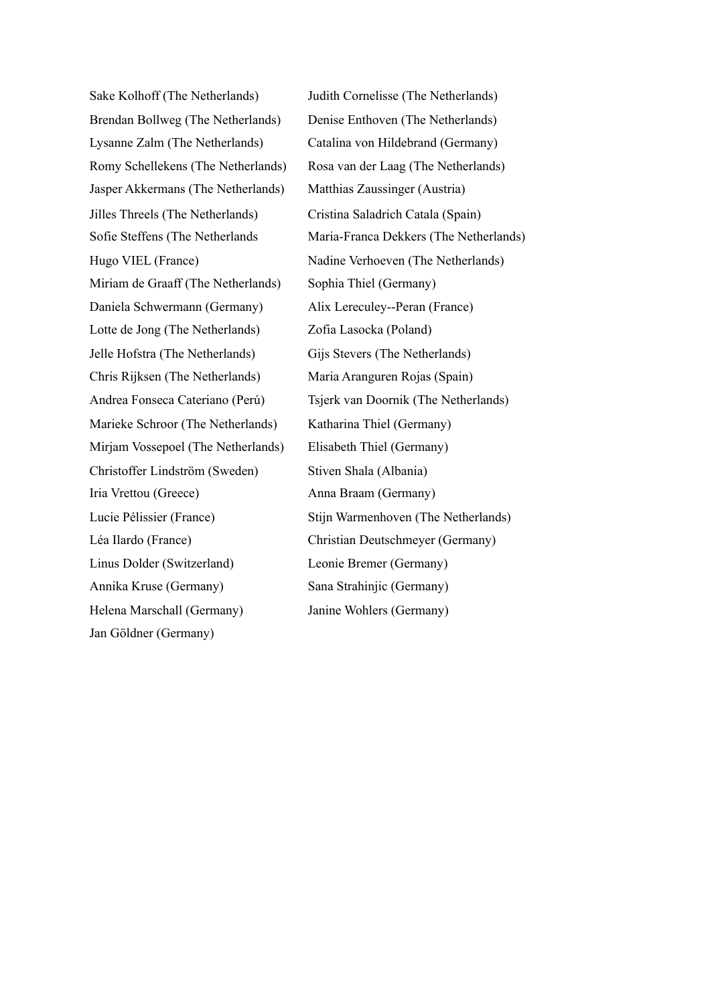Brendan Bollweg (The Netherlands) Denise Enthoven (The Netherlands) Lysanne Zalm (The Netherlands) Catalina von Hildebrand (Germany) Jasper Akkermans (The Netherlands) Matthias Zaussinger (Austria) Jilles Threels (The Netherlands) Cristina Saladrich Catala (Spain) Miriam de Graaff (The Netherlands) Sophia Thiel (Germany) Daniela Schwermann (Germany) Alix Lereculey--Peran (France) Lotte de Jong (The Netherlands) Zofia Lasocka (Poland) Jelle Hofstra (The Netherlands) Gijs Stevers (The Netherlands) Chris Rijksen (The Netherlands) Maria Aranguren Rojas (Spain) Marieke Schroor (The Netherlands) Katharina Thiel (Germany) Mirjam Vossepoel (The Netherlands) Elisabeth Thiel (Germany) Christoffer Lindström (Sweden) Stiven Shala (Albania) Iria Vrettou (Greece) Anna Braam (Germany) Léa Ilardo (France) Christian Deutschmeyer (Germany) Linus Dolder (Switzerland) Leonie Bremer (Germany) Annika Kruse (Germany) Sana Strahinjic (Germany) Helena Marschall (Germany) Janine Wohlers (Germany) Jan Göldner (Germany)

Sake Kolhoff (The Netherlands) Judith Cornelisse (The Netherlands) Romy Schellekens (The Netherlands) Rosa van der Laag (The Netherlands) Sofie Steffens (The Netherlands Maria-Franca Dekkers (The Netherlands) Hugo VIEL (France) Nadine Verhoeven (The Netherlands) Andrea Fonseca Cateriano (Perú) Tsjerk van Doornik (The Netherlands) Lucie Pélissier (France) Stijn Warmenhoven (The Netherlands)